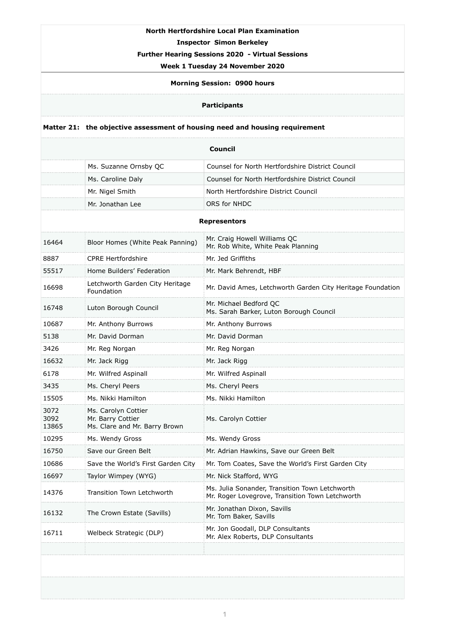## **North Hertfordshire Local Plan Examination**

**Inspector Simon Berkeley** 

**Further Hearing Sessions 2020 - Virtual Sessions** 

## **Week 1 Tuesday 24 November 2020**

**Morning Session: 0900 hours** 

## **Participants**

## **Matter 21: the objective assessment of housing need and housing requirement**

| <b>Council</b>        |                                                                           |                                                                                                   |  |
|-----------------------|---------------------------------------------------------------------------|---------------------------------------------------------------------------------------------------|--|
|                       | Ms. Suzanne Ornsby QC                                                     | Counsel for North Hertfordshire District Council                                                  |  |
|                       | Ms. Caroline Daly                                                         | Counsel for North Hertfordshire District Council                                                  |  |
|                       | Mr. Nigel Smith                                                           | North Hertfordshire District Council                                                              |  |
|                       | Mr. Jonathan Lee                                                          | <b>ORS for NHDC</b>                                                                               |  |
| <b>Representors</b>   |                                                                           |                                                                                                   |  |
| 16464                 | Bloor Homes (White Peak Panning)                                          | Mr. Craig Howell Williams QC<br>Mr. Rob White, White Peak Planning                                |  |
| 8887                  | <b>CPRE Hertfordshire</b>                                                 | Mr. Jed Griffiths                                                                                 |  |
| 55517                 | Home Builders' Federation                                                 | Mr. Mark Behrendt, HBF                                                                            |  |
| 16698                 | Letchworth Garden City Heritage<br>Foundation                             | Mr. David Ames, Letchworth Garden City Heritage Foundation                                        |  |
| 16748                 | Luton Borough Council                                                     | Mr. Michael Bedford QC<br>Ms. Sarah Barker, Luton Borough Council                                 |  |
| 10687                 | Mr. Anthony Burrows                                                       | Mr. Anthony Burrows                                                                               |  |
| 5138                  | Mr. David Dorman                                                          | Mr. David Dorman                                                                                  |  |
| 3426                  | Mr. Reg Norgan                                                            | Mr. Reg Norgan                                                                                    |  |
| 16632                 | Mr. Jack Rigg                                                             | Mr. Jack Rigg                                                                                     |  |
| 6178                  | Mr. Wilfred Aspinall                                                      | Mr. Wilfred Aspinall                                                                              |  |
| 3435                  | Ms. Cheryl Peers                                                          | Ms. Cheryl Peers                                                                                  |  |
| 15505                 | Ms. Nikki Hamilton                                                        | Ms. Nikki Hamilton                                                                                |  |
| 3072<br>3092<br>13865 | Ms. Carolyn Cottier<br>Mr. Barry Cottier<br>Ms. Clare and Mr. Barry Brown | Ms. Carolyn Cottier                                                                               |  |
| 10295                 | Ms. Wendy Gross                                                           | Ms. Wendy Gross                                                                                   |  |
| 16750                 | Save our Green Belt                                                       | Mr. Adrian Hawkins, Save our Green Belt                                                           |  |
| 10686                 | Save the World's First Garden City                                        | Mr. Tom Coates, Save the World's First Garden City                                                |  |
| 16697                 | Taylor Wimpey (WYG)                                                       | Mr. Nick Stafford, WYG                                                                            |  |
| 14376                 | <b>Transition Town Letchworth</b>                                         | Ms. Julia Sonander, Transition Town Letchworth<br>Mr. Roger Lovegrove, Transition Town Letchworth |  |
| 16132                 | The Crown Estate (Savills)                                                | Mr. Jonathan Dixon, Savills<br>Mr. Tom Baker, Savills                                             |  |
| 16711                 | Welbeck Strategic (DLP)                                                   | Mr. Jon Goodall, DLP Consultants<br>Mr. Alex Roberts, DLP Consultants                             |  |
|                       |                                                                           |                                                                                                   |  |
|                       |                                                                           |                                                                                                   |  |
|                       |                                                                           |                                                                                                   |  |

**1**